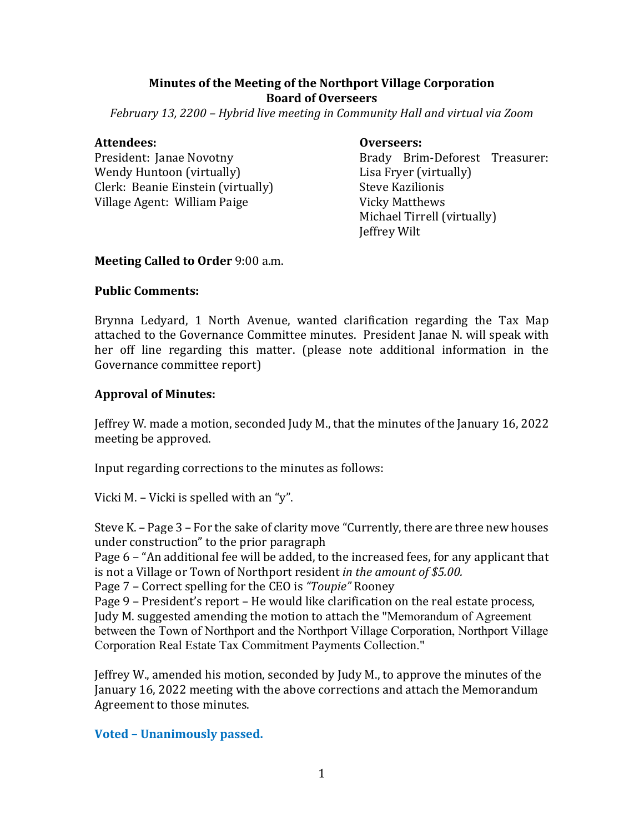## **Minutes of the Meeting of the Northport Village Corporation Board of Overseers**

*February 13, 2200 – Hybrid live meeting in Community Hall and virtual via Zoom*

#### Attendees: *Overseers:*

Wendy Huntoon (virtually) Lisa Fryer (virtually) Clerk: Beanie Einstein (virtually) Steve Kazilionis Village Agent: William Paige Vicky Matthews

President: Janae Novotny **Brady Brim-Deforest Treasurer: Michael Tirrell (virtually)** Jeffrey Wilt

#### **Meeting Called to Order** 9:00 a.m.

#### **Public Comments:**

Brynna Ledyard, 1 North Avenue, wanted clarification regarding the Tax Map attached to the Governance Committee minutes. President Janae N. will speak with her off line regarding this matter. (please note additional information in the Governance committee report)

#### **Approval of Minutes:**

Jeffrey W. made a motion, seconded Judy M., that the minutes of the January 16, 2022 meeting be approved.

Input regarding corrections to the minutes as follows:

Vicki M. – Vicki is spelled with an "y".

Steve K. – Page 3 – For the sake of clarity move "Currently, there are three new houses under construction" to the prior paragraph

Page 6 – "An additional fee will be added, to the increased fees, for any applicant that is not a Village or Town of Northport resident *in the amount of \$5.00.*

Page 7 – Correct spelling for the CEO is *"Toupie"* Rooney

Page 9 – President's report – He would like clarification on the real estate process, Judy M. suggested amending the motion to attach the "Memorandum of Agreement between the Town of Northport and the Northport Village Corporation, Northport Village Corporation Real Estate Tax Commitment Payments Collection."

Jeffrey W., amended his motion, seconded by Judy M., to approve the minutes of the January 16, 2022 meeting with the above corrections and attach the Memorandum Agreement to those minutes.

## **Voted – Unanimously passed.**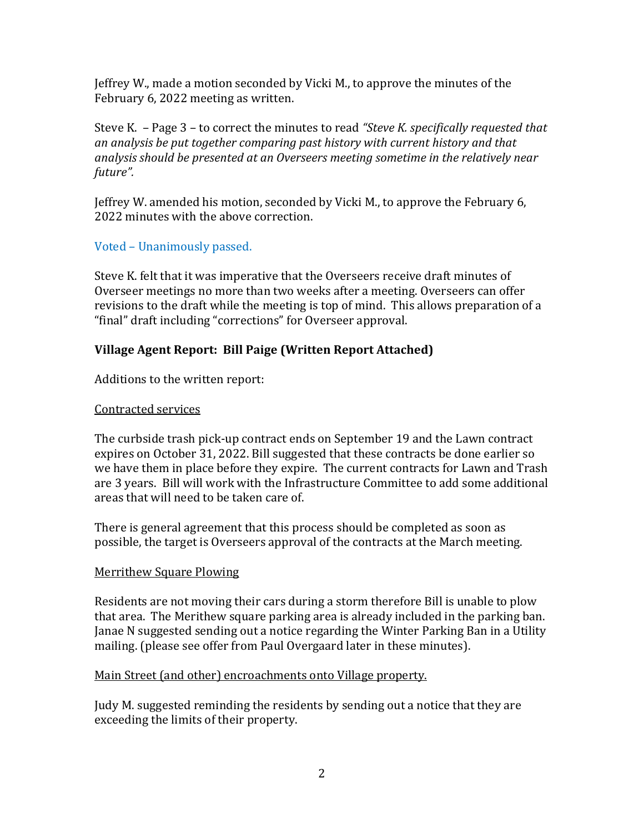Jeffrey W., made a motion seconded by Vicki M., to approve the minutes of the February 6, 2022 meeting as written.

Steve K. – Page 3 – to correct the minutes to read *"Steve K. specifically requested that an analysis be put together comparing past history with current history and that analysis should be presented at an Overseers meeting sometime in the relatively near future".*

Jeffrey W. amended his motion, seconded by Vicki M., to approve the February 6, 2022 minutes with the above correction.

Voted – Unanimously passed.

Steve K. felt that it was imperative that the Overseers receive draft minutes of Overseer meetings no more than two weeks after a meeting. Overseers can offer revisions to the draft while the meeting is top of mind. This allows preparation of a "final" draft including "corrections" for Overseer approval.

# **Village Agent Report: Bill Paige (Written Report Attached)**

Additions to the written report:

## Contracted services

The curbside trash pick-up contract ends on September 19 and the Lawn contract expires on October 31, 2022. Bill suggested that these contracts be done earlier so we have them in place before they expire. The current contracts for Lawn and Trash are 3 years. Bill will work with the Infrastructure Committee to add some additional areas that will need to be taken care of.

There is general agreement that this process should be completed as soon as possible, the target is Overseers approval of the contracts at the March meeting.

## Merrithew Square Plowing

Residents are not moving their cars during a storm therefore Bill is unable to plow that area. The Merithew square parking area is already included in the parking ban. Janae N suggested sending out a notice regarding the Winter Parking Ban in a Utility mailing. (please see offer from Paul Overgaard later in these minutes).

## Main Street (and other) encroachments onto Village property.

Judy M. suggested reminding the residents by sending out a notice that they are exceeding the limits of their property.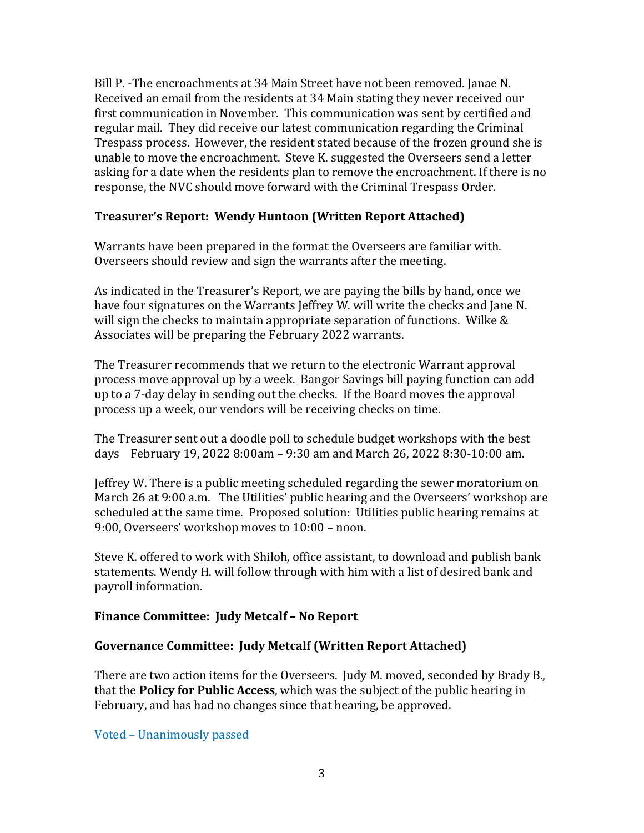Bill P. -The encroachments at 34 Main Street have not been removed. Janae N. Received an email from the residents at 34 Main stating they never received our first communication in November. This communication was sent by certified and regular mail. They did receive our latest communication regarding the Criminal Trespass process. However, the resident stated because of the frozen ground she is unable to move the encroachment. Steve K. suggested the Overseers send a letter asking for a date when the residents plan to remove the encroachment. If there is no response, the NVC should move forward with the Criminal Trespass Order.

## **Treasurer's Report: Wendy Huntoon (Written Report Attached)**

Warrants have been prepared in the format the Overseers are familiar with. Overseers should review and sign the warrants after the meeting.

As indicated in the Treasurer's Report, we are paying the bills by hand, once we have four signatures on the Warrants Jeffrey W. will write the checks and Jane N. will sign the checks to maintain appropriate separation of functions. Wilke & Associates will be preparing the February 2022 warrants.

The Treasurer recommends that we return to the electronic Warrant approval process move approval up by a week. Bangor Savings bill paying function can add up to a 7-day delay in sending out the checks. If the Board moves the approval process up a week, our vendors will be receiving checks on time.

The Treasurer sent out a doodle poll to schedule budget workshops with the best days February 19, 2022 8:00am – 9:30 am and March 26, 2022 8:30-10:00 am.

Jeffrey W. There is a public meeting scheduled regarding the sewer moratorium on March 26 at 9:00 a.m. The Utilities' public hearing and the Overseers' workshop are scheduled at the same time. Proposed solution: Utilities public hearing remains at 9:00, Overseers' workshop moves to 10:00 – noon.

Steve K. offered to work with Shiloh, office assistant, to download and publish bank statements. Wendy H. will follow through with him with a list of desired bank and payroll information.

## **Finance Committee: Judy Metcalf – No Report**

## **Governance Committee: Judy Metcalf (Written Report Attached)**

There are two action items for the Overseers. Judy M. moved, seconded by Brady B., that the **Policy for Public Access**, which was the subject of the public hearing in February, and has had no changes since that hearing, be approved.

Voted – Unanimously passed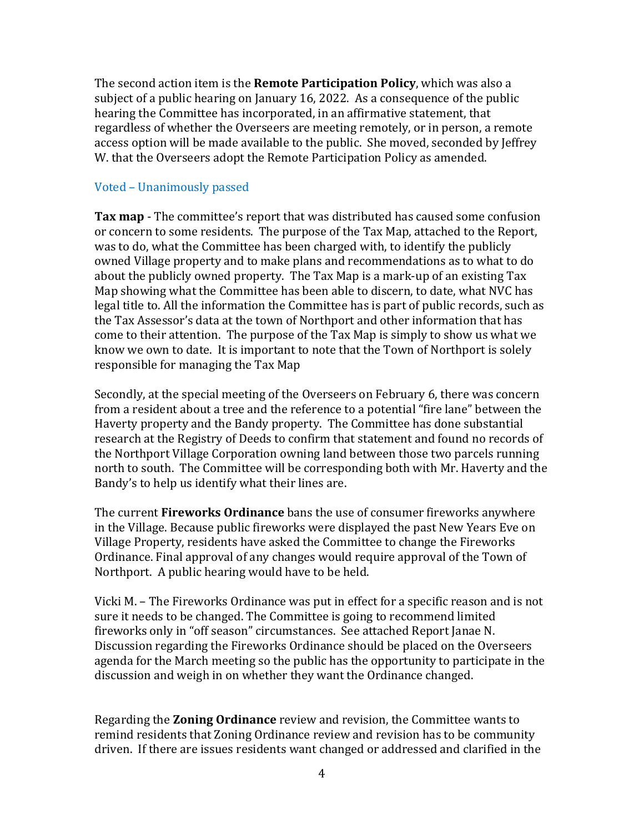The second action item is the **Remote Participation Policy**, which was also a subject of a public hearing on January 16, 2022. As a consequence of the public hearing the Committee has incorporated, in an affirmative statement, that regardless of whether the Overseers are meeting remotely, or in person, a remote access option will be made available to the public. She moved, seconded by Jeffrey W. that the Overseers adopt the Remote Participation Policy as amended.

#### Voted – Unanimously passed

**Tax map** - The committee's report that was distributed has caused some confusion or concern to some residents. The purpose of the Tax Map, attached to the Report, was to do, what the Committee has been charged with, to identify the publicly owned Village property and to make plans and recommendations as to what to do about the publicly owned property. The Tax Map is a mark-up of an existing Tax Map showing what the Committee has been able to discern, to date, what NVC has legal title to. All the information the Committee has is part of public records, such as the Tax Assessor's data at the town of Northport and other information that has come to their attention. The purpose of the Tax Map is simply to show us what we know we own to date. It is important to note that the Town of Northport is solely responsible for managing the Tax Map

Secondly, at the special meeting of the Overseers on February 6, there was concern from a resident about a tree and the reference to a potential "fire lane" between the Haverty property and the Bandy property. The Committee has done substantial research at the Registry of Deeds to confirm that statement and found no records of the Northport Village Corporation owning land between those two parcels running north to south. The Committee will be corresponding both with Mr. Haverty and the Bandy's to help us identify what their lines are.

The current **Fireworks Ordinance** bans the use of consumer fireworks anywhere in the Village. Because public fireworks were displayed the past New Years Eve on Village Property, residents have asked the Committee to change the Fireworks Ordinance. Final approval of any changes would require approval of the Town of Northport. A public hearing would have to be held.

Vicki M. – The Fireworks Ordinance was put in effect for a specific reason and is not sure it needs to be changed. The Committee is going to recommend limited fireworks only in "off season" circumstances. See attached Report Janae N. Discussion regarding the Fireworks Ordinance should be placed on the Overseers agenda for the March meeting so the public has the opportunity to participate in the discussion and weigh in on whether they want the Ordinance changed.

Regarding the **Zoning Ordinance** review and revision, the Committee wants to remind residents that Zoning Ordinance review and revision has to be community driven. If there are issues residents want changed or addressed and clarified in the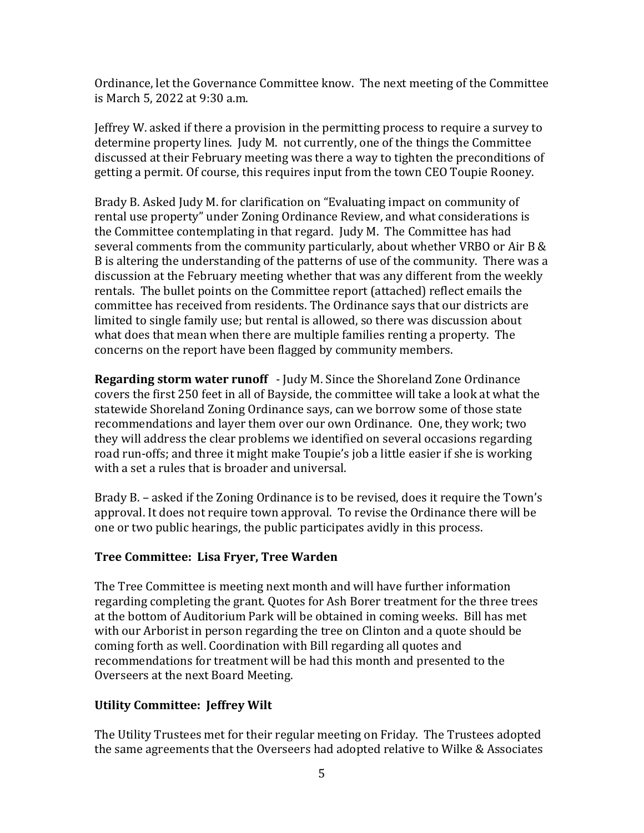Ordinance, let the Governance Committee know. The next meeting of the Committee is March 5, 2022 at 9:30 a.m.

Jeffrey W. asked if there a provision in the permitting process to require a survey to determine property lines. Judy M. not currently, one of the things the Committee discussed at their February meeting was there a way to tighten the preconditions of getting a permit. Of course, this requires input from the town CEO Toupie Rooney.

Brady B. Asked Judy M. for clarification on "Evaluating impact on community of rental use property" under Zoning Ordinance Review, and what considerations is the Committee contemplating in that regard. Judy M. The Committee has had several comments from the community particularly, about whether VRBO or Air B & B is altering the understanding of the patterns of use of the community. There was a discussion at the February meeting whether that was any different from the weekly rentals. The bullet points on the Committee report (attached) reflect emails the committee has received from residents. The Ordinance says that our districts are limited to single family use; but rental is allowed, so there was discussion about what does that mean when there are multiple families renting a property. The concerns on the report have been flagged by community members.

**Regarding storm water runoff** - Judy M. Since the Shoreland Zone Ordinance covers the first 250 feet in all of Bayside, the committee will take a look at what the statewide Shoreland Zoning Ordinance says, can we borrow some of those state recommendations and layer them over our own Ordinance. One, they work; two they will address the clear problems we identified on several occasions regarding road run-offs; and three it might make Toupie's job a little easier if she is working with a set a rules that is broader and universal.

Brady B. – asked if the Zoning Ordinance is to be revised, does it require the Town's approval. It does not require town approval. To revise the Ordinance there will be one or two public hearings, the public participates avidly in this process.

# **Tree Committee: Lisa Fryer, Tree Warden**

The Tree Committee is meeting next month and will have further information regarding completing the grant. Quotes for Ash Borer treatment for the three trees at the bottom of Auditorium Park will be obtained in coming weeks. Bill has met with our Arborist in person regarding the tree on Clinton and a quote should be coming forth as well. Coordination with Bill regarding all quotes and recommendations for treatment will be had this month and presented to the Overseers at the next Board Meeting.

# **Utility Committee: Jeffrey Wilt**

The Utility Trustees met for their regular meeting on Friday. The Trustees adopted the same agreements that the Overseers had adopted relative to Wilke & Associates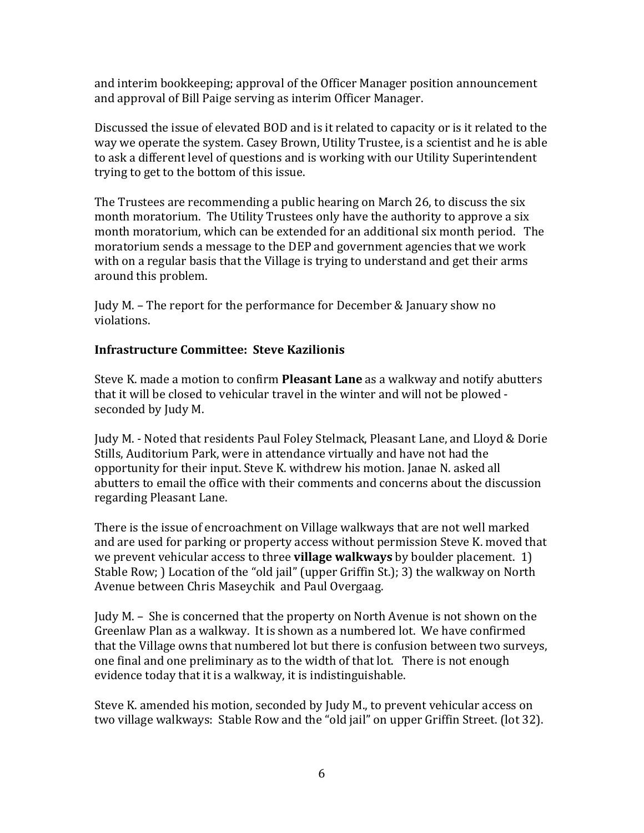and interim bookkeeping; approval of the Officer Manager position announcement and approval of Bill Paige serving as interim Officer Manager.

Discussed the issue of elevated BOD and is it related to capacity or is it related to the way we operate the system. Casey Brown, Utility Trustee, is a scientist and he is able to ask a different level of questions and is working with our Utility Superintendent trying to get to the bottom of this issue.

The Trustees are recommending a public hearing on March 26, to discuss the six month moratorium. The Utility Trustees only have the authority to approve a six month moratorium, which can be extended for an additional six month period. The moratorium sends a message to the DEP and government agencies that we work with on a regular basis that the Village is trying to understand and get their arms around this problem.

Judy M. – The report for the performance for December & January show no violations.

## **Infrastructure Committee: Steve Kazilionis**

Steve K. made a motion to confirm **Pleasant Lane** as a walkway and notify abutters that it will be closed to vehicular travel in the winter and will not be plowed seconded by Judy M.

Judy M. - Noted that residents Paul Foley Stelmack, Pleasant Lane, and Lloyd & Dorie Stills, Auditorium Park, were in attendance virtually and have not had the opportunity for their input. Steve K. withdrew his motion. Janae N. asked all abutters to email the office with their comments and concerns about the discussion regarding Pleasant Lane.

There is the issue of encroachment on Village walkways that are not well marked and are used for parking or property access without permission Steve K. moved that we prevent vehicular access to three **village walkways** by boulder placement. 1) Stable Row; ) Location of the "old jail" (upper Griffin St.); 3) the walkway on North Avenue between Chris Maseychik and Paul Overgaag.

Judy M. – She is concerned that the property on North Avenue is not shown on the Greenlaw Plan as a walkway. It is shown as a numbered lot. We have confirmed that the Village owns that numbered lot but there is confusion between two surveys, one final and one preliminary as to the width of that lot. There is not enough evidence today that it is a walkway, it is indistinguishable.

Steve K. amended his motion, seconded by Judy M., to prevent vehicular access on two village walkways: Stable Row and the "old jail" on upper Griffin Street. (lot 32).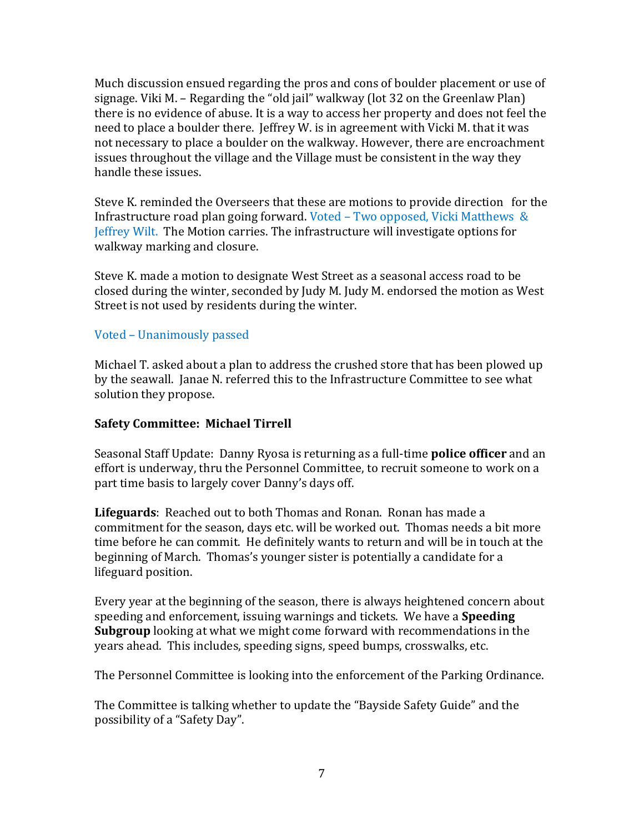Much discussion ensued regarding the pros and cons of boulder placement or use of signage. Viki M. – Regarding the "old jail" walkway (lot 32 on the Greenlaw Plan) there is no evidence of abuse. It is a way to access her property and does not feel the need to place a boulder there. Jeffrey W. is in agreement with Vicki M. that it was not necessary to place a boulder on the walkway. However, there are encroachment issues throughout the village and the Village must be consistent in the way they handle these issues.

Steve K. reminded the Overseers that these are motions to provide direction for the Infrastructure road plan going forward. Voted – Two opposed, Vicki Matthews & Jeffrey Wilt. The Motion carries. The infrastructure will investigate options for walkway marking and closure.

Steve K. made a motion to designate West Street as a seasonal access road to be closed during the winter, seconded by Judy M. Judy M. endorsed the motion as West Street is not used by residents during the winter.

#### Voted – Unanimously passed

Michael T. asked about a plan to address the crushed store that has been plowed up by the seawall. Janae N. referred this to the Infrastructure Committee to see what solution they propose.

## **Safety Committee: Michael Tirrell**

Seasonal Staff Update: Danny Ryosa is returning as a full-time **police officer** and an effort is underway, thru the Personnel Committee, to recruit someone to work on a part time basis to largely cover Danny's days off.

**Lifeguards**: Reached out to both Thomas and Ronan. Ronan has made a commitment for the season, days etc. will be worked out. Thomas needs a bit more time before he can commit. He definitely wants to return and will be in touch at the beginning of March. Thomas's younger sister is potentially a candidate for a lifeguard position.

Every year at the beginning of the season, there is always heightened concern about speeding and enforcement, issuing warnings and tickets. We have a **Speeding Subgroup** looking at what we might come forward with recommendations in the years ahead. This includes, speeding signs, speed bumps, crosswalks, etc.

The Personnel Committee is looking into the enforcement of the Parking Ordinance.

The Committee is talking whether to update the "Bayside Safety Guide" and the possibility of a "Safety Day".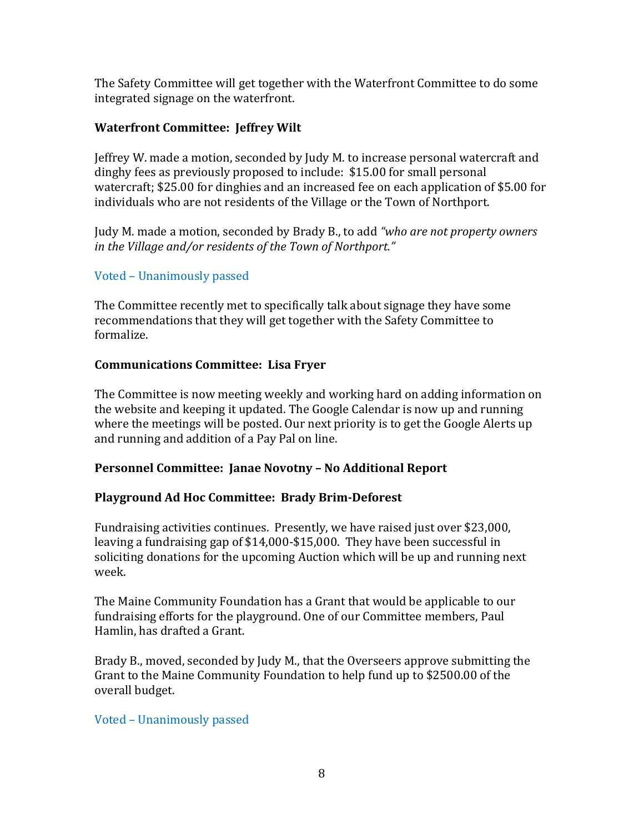The Safety Committee will get together with the Waterfront Committee to do some integrated signage on the waterfront.

# **Waterfront Committee: Ieffrey Wilt**

Jeffrey W. made a motion, seconded by Judy M. to increase personal watercraft and dinghy fees as previously proposed to include: \$15.00 for small personal watercraft; \$25.00 for dinghies and an increased fee on each application of \$5.00 for individuals who are not residents of the Village or the Town of Northport.

Judy M. made a motion, seconded by Brady B., to add *"who are not property owners in the Village and/or residents of the Town of Northport."*

# Voted – Unanimously passed

The Committee recently met to specifically talk about signage they have some recommendations that they will get together with the Safety Committee to formalize.

# **Communications Committee: Lisa Fryer**

The Committee is now meeting weekly and working hard on adding information on the website and keeping it updated. The Google Calendar is now up and running where the meetings will be posted. Our next priority is to get the Google Alerts up and running and addition of a Pay Pal on line.

# **Personnel Committee: Janae Novotny - No Additional Report**

# **Playground Ad Hoc Committee: Brady Brim‐Deforest**

Fundraising activities continues. Presently, we have raised just over \$23,000, leaving a fundraising gap of \$14,000-\$15,000. They have been successful in soliciting donations for the upcoming Auction which will be up and running next week.

The Maine Community Foundation has a Grant that would be applicable to our fundraising efforts for the playground. One of our Committee members, Paul Hamlin, has drafted a Grant.

Brady B., moved, seconded by Judy M., that the Overseers approve submitting the Grant to the Maine Community Foundation to help fund up to \$2500.00 of the overall budget.

# Voted – Unanimously passed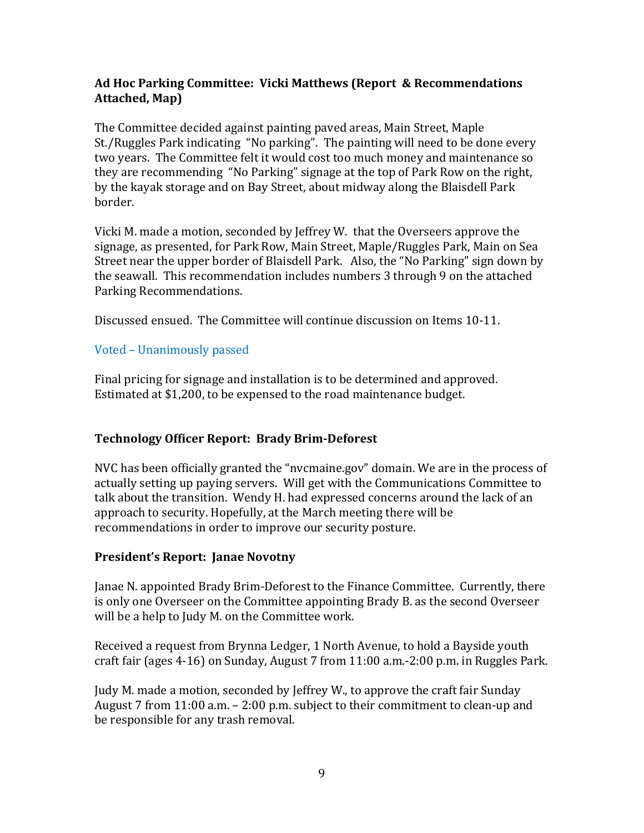# **Ad Hoc Parking Committee: Vicki Matthews (Report & Recommendations Attached, Map)**

The Committee decided against painting paved areas, Main Street, Maple St./Ruggles Park indicating "No parking". The painting will need to be done every two years. The Committee felt it would cost too much money and maintenance so they are recommending "No Parking" signage at the top of Park Row on the right, by the kayak storage and on Bay Street, about midway along the Blaisdell Park border.

Vicki M. made a motion, seconded by Jeffrey W. that the Overseers approve the signage, as presented, for Park Row, Main Street, Maple/Ruggles Park, Main on Sea Street near the upper border of Blaisdell Park. Also, the "No Parking" sign down by the seawall. This recommendation includes numbers 3 through 9 on the attached Parking Recommendations.

Discussed ensued. The Committee will continue discussion on Items 10-11.

## Voted – Unanimously passed

Final pricing for signage and installation is to be determined and approved. Estimated at \$1,200, to be expensed to the road maintenance budget.

# **Technology Officer Report: Brady Brim‐Deforest**

NVC has been officially granted the "nvcmaine.gov" domain. We are in the process of actually setting up paying servers. Will get with the Communications Committee to talk about the transition. Wendy H. had expressed concerns around the lack of an approach to security. Hopefully, at the March meeting there will be recommendations in order to improve our security posture.

## **President's Report: Janae Novotny**

Janae N. appointed Brady Brim-Deforest to the Finance Committee. Currently, there is only one Overseer on the Committee appointing Brady B. as the second Overseer will be a help to Judy M. on the Committee work.

Received a request from Brynna Ledger, 1 North Avenue, to hold a Bayside youth craft fair (ages 4-16) on Sunday, August 7 from 11:00 a.m.-2:00 p.m. in Ruggles Park.

Judy M. made a motion, seconded by Jeffrey W., to approve the craft fair Sunday August 7 from 11:00 a.m. – 2:00 p.m. subject to their commitment to clean-up and be responsible for any trash removal.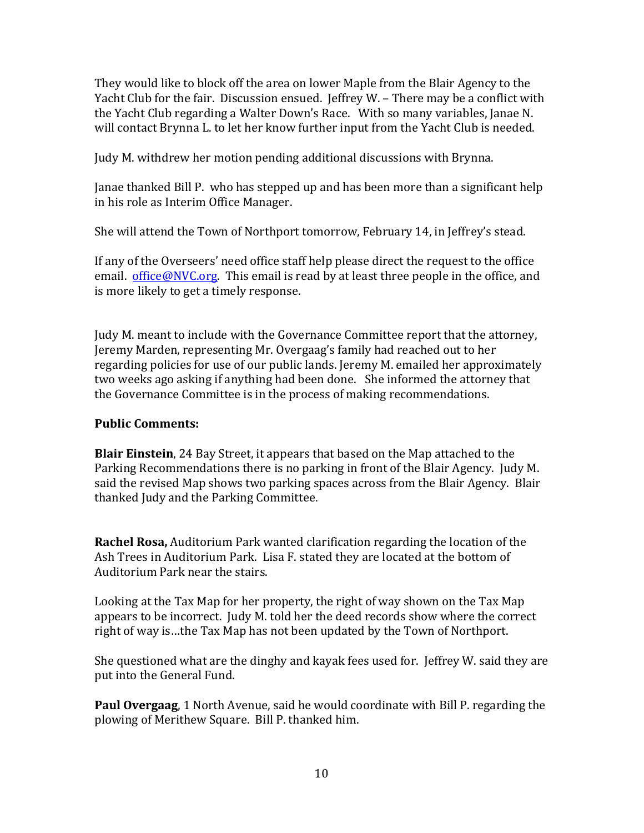They would like to block off the area on lower Maple from the Blair Agency to the Yacht Club for the fair. Discussion ensued. Jeffrey W. – There may be a conflict with the Yacht Club regarding a Walter Down's Race. With so many variables, Janae N. will contact Brynna L. to let her know further input from the Yacht Club is needed.

Judy M. withdrew her motion pending additional discussions with Brynna.

Janae thanked Bill P. who has stepped up and has been more than a significant help in his role as Interim Office Manager.

She will attend the Town of Northport tomorrow, February 14, in Jeffrey's stead.

If any of the Overseers' need office staff help please direct the request to the office email. office@NVC.org. This email is read by at least three people in the office, and is more likely to get a timely response.

Judy M. meant to include with the Governance Committee report that the attorney, Jeremy Marden, representing Mr. Overgaag's family had reached out to her regarding policies for use of our public lands. Jeremy M. emailed her approximately two weeks ago asking if anything had been done. She informed the attorney that the Governance Committee is in the process of making recommendations.

# **Public Comments:**

**Blair Einstein**, 24 Bay Street, it appears that based on the Map attached to the Parking Recommendations there is no parking in front of the Blair Agency. Judy M. said the revised Map shows two parking spaces across from the Blair Agency. Blair thanked Judy and the Parking Committee.

**Rachel Rosa,** Auditorium Park wanted clarification regarding the location of the Ash Trees in Auditorium Park. Lisa F. stated they are located at the bottom of Auditorium Park near the stairs.

Looking at the Tax Map for her property, the right of way shown on the Tax Map appears to be incorrect. Judy M. told her the deed records show where the correct right of way is…the Tax Map has not been updated by the Town of Northport.

She questioned what are the dinghy and kayak fees used for. Jeffrey W. said they are put into the General Fund.

**Paul Overgaag**, 1 North Avenue, said he would coordinate with Bill P. regarding the plowing of Merithew Square. Bill P. thanked him.